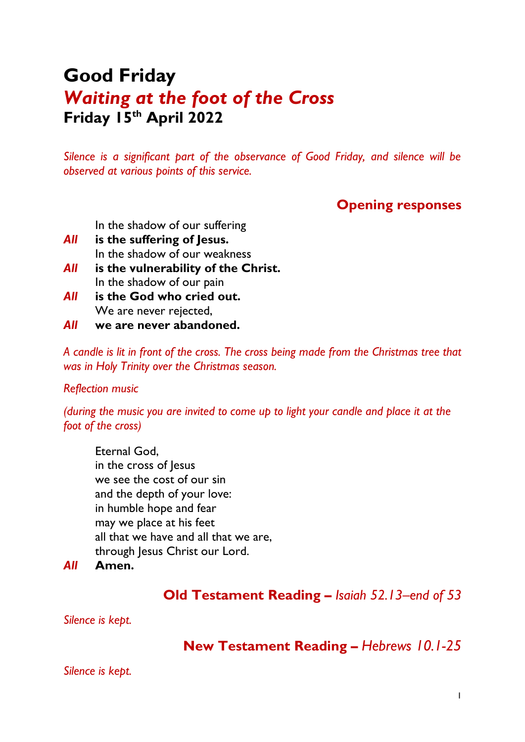# **Good Friday** *Waiting at the foot of the Cross* **Friday 15th April 2022**

*Silence is a significant part of the observance of Good Friday, and silence will be observed at various points of this service.*

# **Opening responses**

In the shadow of our suffering

- *All* **is the suffering of Jesus.** In the shadow of our weakness
- *All* **is the vulnerability of the Christ.** In the shadow of our pain
- *All* **is the God who cried out.** We are never rejected,
- *All* **we are never abandoned.**

*A candle is lit in front of the cross. The cross being made from the Christmas tree that was in Holy Trinity over the Christmas season.*

#### *Reflection music*

*(during the music you are invited to come up to light your candle and place it at the foot of the cross)*

Eternal God, in the cross of Jesus we see the cost of our sin and the depth of your love: in humble hope and fear may we place at his feet all that we have and all that we are, through Jesus Christ our Lord.

*All* **Amen.**

### **Old Testament Reading** *– Isaiah 52.13–end of 53*

*Silence is kept.*

### **New Testament Reading** *– Hebrews 10.1-25*

*Silence is kept.*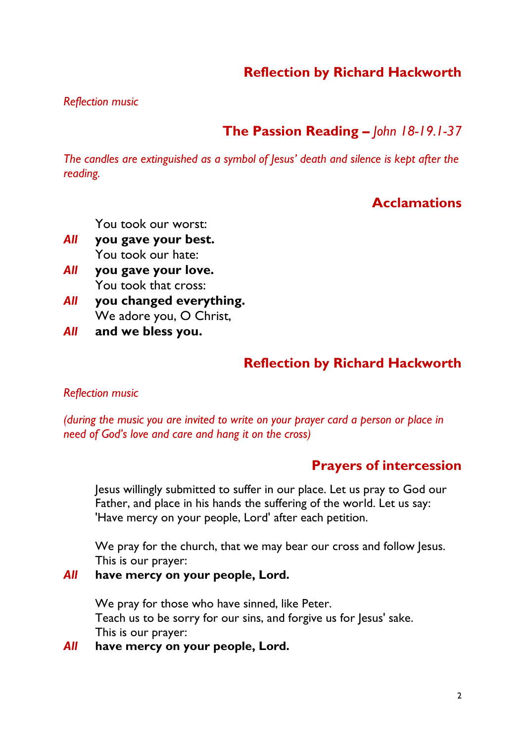# **Reflection by Richard Hackworth**

*Reflection music*

# **The Passion Reading** *– John 18-19.1-37*

*The candles are extinguished as a symbol of Jesus' death and silence is kept after the reading.*

## **Acclamations**

You took our worst:

- *All* **you gave your best.** You took our hate:
- *All* **you gave your love.** You took that cross:
- *All* **you changed everything.** We adore you, O Christ,
- *All* **and we bless you.**

# **Reflection by Richard Hackworth**

#### *Reflection music*

*(during the music you are invited to write on your prayer card a person or place in need of God's love and care and hang it on the cross)*

### **Prayers of intercession**

Jesus willingly submitted to suffer in our place. Let us pray to God our Father, and place in his hands the suffering of the world. Let us say: 'Have mercy on your people, Lord' after each petition.

We pray for the church, that we may bear our cross and follow Jesus. This is our prayer:

#### *All* **have mercy on your people, Lord.**

We pray for those who have sinned, like Peter. Teach us to be sorry for our sins, and forgive us for Jesus' sake. This is our prayer:

*All* **have mercy on your people, Lord.**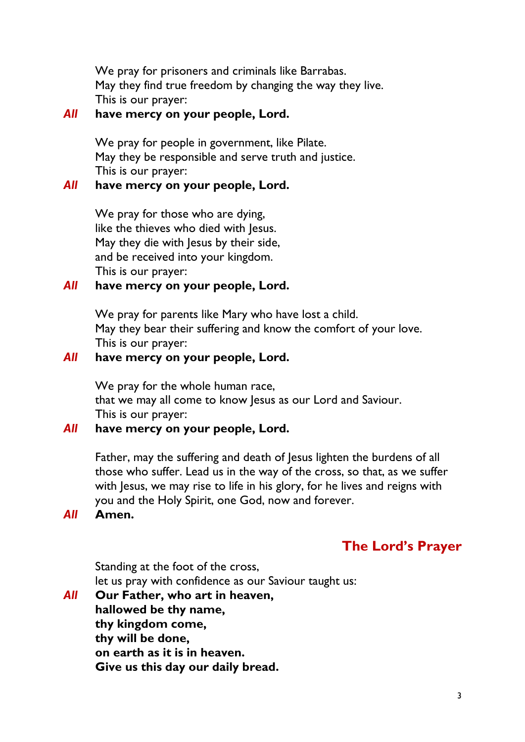We pray for prisoners and criminals like Barrabas. May they find true freedom by changing the way they live. This is our prayer:

### *All* **have mercy on your people, Lord.**

We pray for people in government, like Pilate. May they be responsible and serve truth and justice. This is our prayer:

#### *All* **have mercy on your people, Lord.**

We pray for those who are dying, like the thieves who died with Jesus. May they die with Jesus by their side, and be received into your kingdom. This is our prayer:

### *All* **have mercy on your people, Lord.**

We pray for parents like Mary who have lost a child. May they bear their suffering and know the comfort of your love. This is our prayer:

### *All* **have mercy on your people, Lord.**

We pray for the whole human race, that we may all come to know Jesus as our Lord and Saviour. This is our prayer:

### *All* **have mercy on your people, Lord.**

Father, may the suffering and death of Jesus lighten the burdens of all those who suffer. Lead us in the way of the cross, so that, as we suffer with Jesus, we may rise to life in his glory, for he lives and reigns with you and the Holy Spirit, one God, now and forever.

### *All* **Amen.**

# **The Lord's Prayer**

Standing at the foot of the cross, let us pray with confidence as our Saviour taught us:

*All* **Our Father, who art in heaven, hallowed be thy name, thy kingdom come, thy will be done, on earth as it is in heaven. Give us this day our daily bread.**